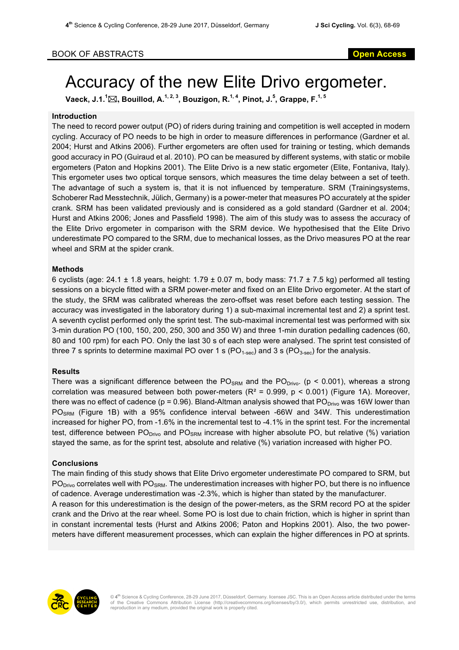# Accuracy of the new Elite Drivo ergometer.

<code>Vaeck, J.1. $^1$ ⊠, Bouillod, A. $^{1,\,2,\,3}$ , Bouzigon, R. $^{1,\,4}$ , Pinot, J. $^5$ , Grappe, F. $^{1,\,5}$ </code>

## **Introduction**

The need to record power output (PO) of riders during training and competition is well accepted in modern cycling. Accuracy of PO needs to be high in order to measure differences in performance (Gardner et al. 2004; Hurst and Atkins 2006). Further ergometers are often used for training or testing, which demands good accuracy in PO (Guiraud et al. 2010). PO can be measured by different systems, with static or mobile ergometers (Paton and Hopkins 2001). The Elite Drivo is a new static ergometer (Elite, Fontaniva, Italy). This ergometer uses two optical torque sensors, which measures the time delay between a set of teeth. The advantage of such a system is, that it is not influenced by temperature. SRM (Trainingsystems, Schoberer Rad Messtechnik, Jülich, Germany) is a power-meter that measures PO accurately at the spider crank. SRM has been validated previously and is considered as a gold standard (Gardner et al. 2004; Hurst and Atkins 2006; Jones and Passfield 1998). The aim of this study was to assess the accuracy of the Elite Drivo ergometer in comparison with the SRM device. We hypothesised that the Elite Drivo underestimate PO compared to the SRM, due to mechanical losses, as the Drivo measures PO at the rear wheel and SRM at the spider crank.

## **Methods**

6 cyclists (age:  $24.1 \pm 1.8$  years, height: 1.79  $\pm$  0.07 m, body mass: 71.7  $\pm$  7.5 kg) performed all testing sessions on a bicycle fitted with a SRM power-meter and fixed on an Elite Drivo ergometer. At the start of the study, the SRM was calibrated whereas the zero-offset was reset before each testing session. The accuracy was investigated in the laboratory during 1) a sub-maximal incremental test and 2) a sprint test. A seventh cyclist performed only the sprint test. The sub-maximal incremental test was performed with six 3-min duration PO (100, 150, 200, 250, 300 and 350 W) and three 1-min duration pedalling cadences (60, 80 and 100 rpm) for each PO. Only the last 30 s of each step were analysed. The sprint test consisted of three 7 s sprints to determine maximal PO over 1 s (PO<sub>1-sec</sub>) and 3 s (PO<sub>3-sec</sub>) for the analysis.

## **Results**

There was a significant difference between the  $POS_{RM}$  and the  $PO_{Divo}$ . (p < 0.001), whereas a strong correlation was measured between both power-meters ( $R^2 = 0.999$ ,  $p < 0.001$ ) (Figure 1A). Moreover, there was no effect of cadence ( $p = 0.96$ ). Bland-Altman analysis showed that PO<sub>Drivo</sub> was 16W lower than PO<sub>SRM</sub> (Figure 1B) with a 95% confidence interval between -66W and 34W. This underestimation increased for higher PO, from -1.6% in the incremental test to -4.1% in the sprint test. For the incremental test, difference between PO<sub>Drivo</sub> and PO<sub>SRM</sub> increase with higher absolute PO, but relative (%) variation stayed the same, as for the sprint test, absolute and relative (%) variation increased with higher PO.

## **Conclusions**

The main finding of this study shows that Elite Drivo ergometer underestimate PO compared to SRM, but  $PO<sub>Divo</sub>$  correlates well with  $PO<sub>SRM</sub>$ . The underestimation increases with higher PO, but there is no influence of cadence. Average underestimation was -2.3%, which is higher than stated by the manufacturer.

A reason for this underestimation is the design of the power-meters, as the SRM record PO at the spider crank and the Drivo at the rear wheel. Some PO is lost due to chain friction, which is higher in sprint than in constant incremental tests (Hurst and Atkins 2006; Paton and Hopkins 2001). Also, the two powermeters have different measurement processes, which can explain the higher differences in PO at sprints.